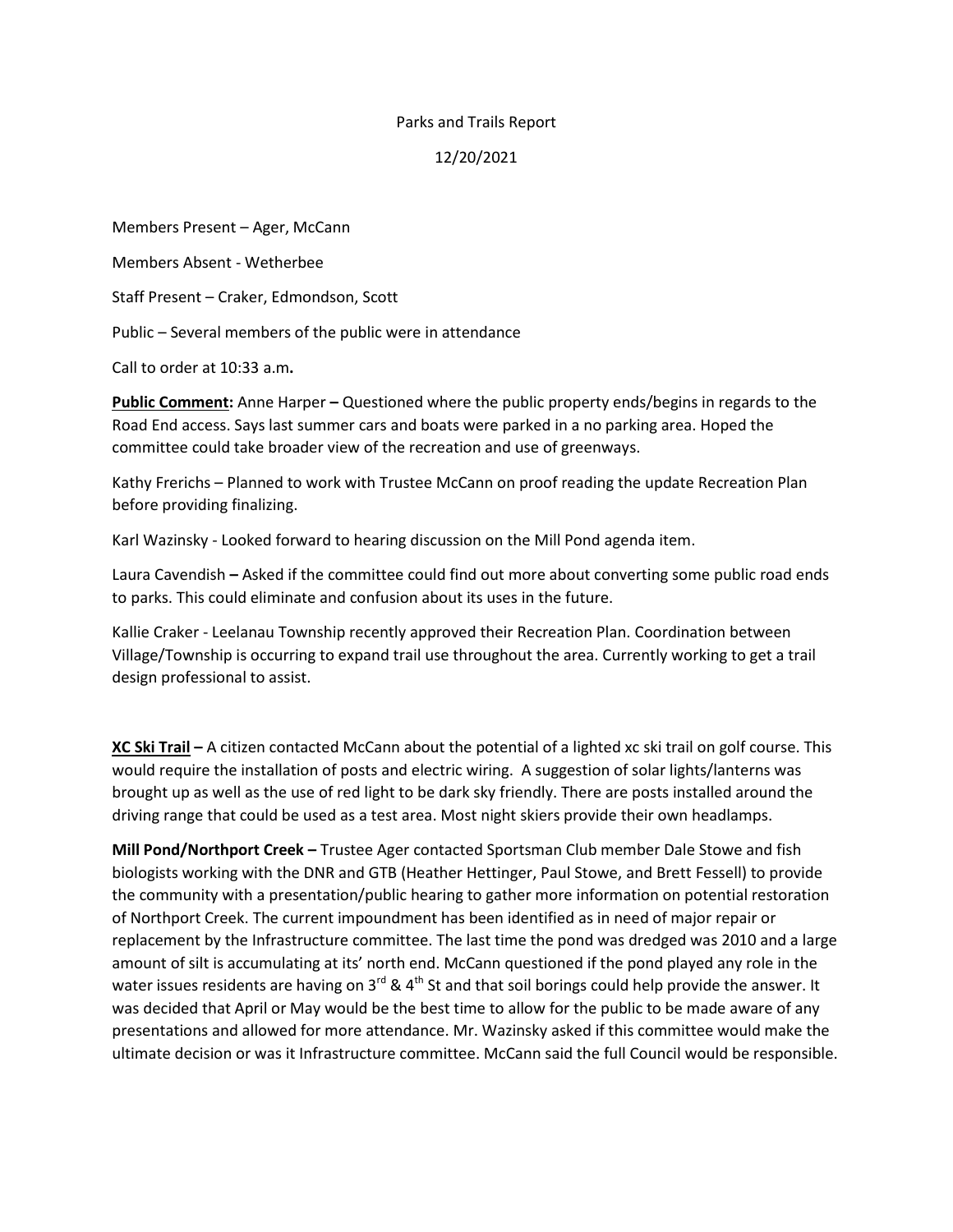## Parks and Trails Report

## 12/20/2021

Members Present – Ager, McCann

Members Absent - Wetherbee

Staff Present – Craker, Edmondson, Scott

Public – Several members of the public were in attendance

Call to order at 10:33 a.m**.**

**Public Comment:** Anne Harper **–** Questioned where the public property ends/begins in regards to the Road End access. Says last summer cars and boats were parked in a no parking area. Hoped the committee could take broader view of the recreation and use of greenways.

Kathy Frerichs – Planned to work with Trustee McCann on proof reading the update Recreation Plan before providing finalizing.

Karl Wazinsky - Looked forward to hearing discussion on the Mill Pond agenda item.

Laura Cavendish **–** Asked if the committee could find out more about converting some public road ends to parks. This could eliminate and confusion about its uses in the future.

Kallie Craker - Leelanau Township recently approved their Recreation Plan. Coordination between Village/Township is occurring to expand trail use throughout the area. Currently working to get a trail design professional to assist.

**XC Ski Trail –** A citizen contacted McCann about the potential of a lighted xc ski trail on golf course. This would require the installation of posts and electric wiring. A suggestion of solar lights/lanterns was brought up as well as the use of red light to be dark sky friendly. There are posts installed around the driving range that could be used as a test area. Most night skiers provide their own headlamps.

**Mill Pond/Northport Creek –** Trustee Ager contacted Sportsman Club member Dale Stowe and fish biologists working with the DNR and GTB (Heather Hettinger, Paul Stowe, and Brett Fessell) to provide the community with a presentation/public hearing to gather more information on potential restoration of Northport Creek. The current impoundment has been identified as in need of major repair or replacement by the Infrastructure committee. The last time the pond was dredged was 2010 and a large amount of silt is accumulating at its' north end. McCann questioned if the pond played any role in the water issues residents are having on  $3^{rd}$  & 4<sup>th</sup> St and that soil borings could help provide the answer. It was decided that April or May would be the best time to allow for the public to be made aware of any presentations and allowed for more attendance. Mr. Wazinsky asked if this committee would make the ultimate decision or was it Infrastructure committee. McCann said the full Council would be responsible.